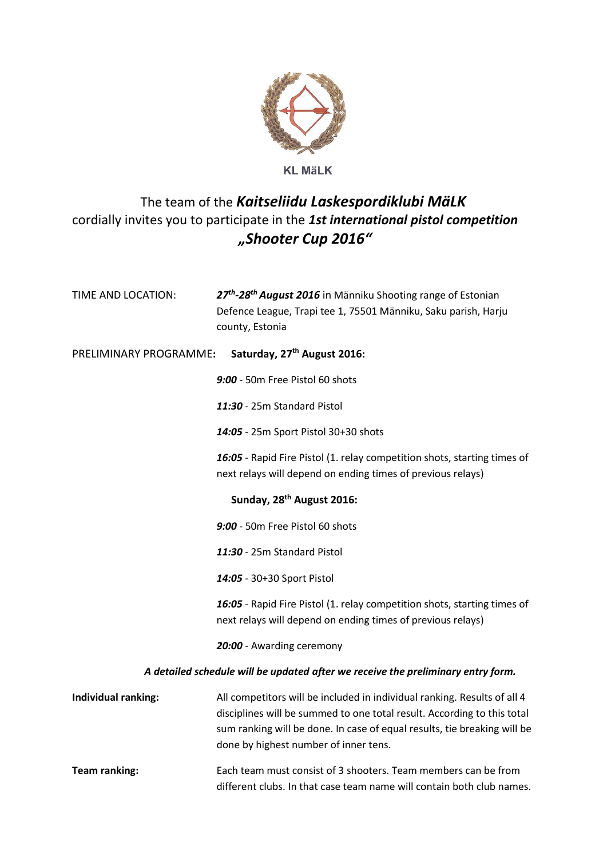

## **KL MäLK**

## The team of the *Kaitseliidu Laskespordiklubi MäLK* cordially invites you to participate in the *1st international pistol competition "Shooter Cup 2016"*

| TIME AND LOCATION:                                                               | 27 <sup>th</sup> -28 <sup>th</sup> August 2016 in Männiku Shooting range of Estonian<br>Defence League, Trapi tee 1, 75501 Männiku, Saku parish, Harju<br>county, Estonia                                                                                                |  |  |  |
|----------------------------------------------------------------------------------|--------------------------------------------------------------------------------------------------------------------------------------------------------------------------------------------------------------------------------------------------------------------------|--|--|--|
| Saturday, 27 <sup>th</sup> August 2016:<br>PRELIMINARY PROGRAMME:                |                                                                                                                                                                                                                                                                          |  |  |  |
|                                                                                  | 9:00 - 50m Free Pistol 60 shots                                                                                                                                                                                                                                          |  |  |  |
|                                                                                  | 11:30 - 25m Standard Pistol                                                                                                                                                                                                                                              |  |  |  |
|                                                                                  | 14:05 - 25m Sport Pistol 30+30 shots                                                                                                                                                                                                                                     |  |  |  |
|                                                                                  | 16:05 - Rapid Fire Pistol (1. relay competition shots, starting times of<br>next relays will depend on ending times of previous relays)                                                                                                                                  |  |  |  |
| Sunday, 28 <sup>th</sup> August 2016:                                            |                                                                                                                                                                                                                                                                          |  |  |  |
|                                                                                  | 9:00 - 50m Free Pistol 60 shots                                                                                                                                                                                                                                          |  |  |  |
|                                                                                  | 11:30 - 25m Standard Pistol                                                                                                                                                                                                                                              |  |  |  |
|                                                                                  | 14:05 - 30+30 Sport Pistol                                                                                                                                                                                                                                               |  |  |  |
|                                                                                  | 16:05 - Rapid Fire Pistol (1. relay competition shots, starting times of<br>next relays will depend on ending times of previous relays)                                                                                                                                  |  |  |  |
|                                                                                  | 20:00 - Awarding ceremony                                                                                                                                                                                                                                                |  |  |  |
| A detailed schedule will be updated after we receive the preliminary entry form. |                                                                                                                                                                                                                                                                          |  |  |  |
| Individual ranking:                                                              | All competitors will be included in individual ranking. Results of all 4<br>disciplines will be summed to one total result. According to this total<br>sum ranking will be done. In case of equal results, tie breaking will be<br>done by highest number of inner tens. |  |  |  |
| <b>Team ranking:</b>                                                             | Each team must consist of 3 shooters. Team members can be from<br>different clubs. In that case team name will contain both club names.                                                                                                                                  |  |  |  |